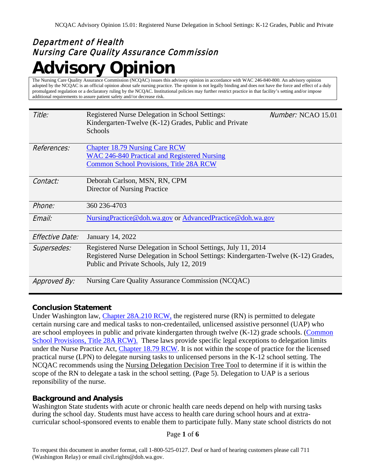# Department of Health Nursing Care Quality Assurance Commission **Advisory Opinion**

The Nursing Care Quality Assurance Commission (NCQAC) issues this advisory opinion in accordance with WAC 246-840-800. An advisory opinion adopted by the NCQAC is an official opinion about safe nursing practice. The opinion is not legally binding and does not have the force and effect of a duly promulgated regulation or a declaratory ruling by the NCQAC. Institutional policies may further restrict practice in that facility's setting and/or impose additional requirements to assure patient safety and//or decrease risk.

| Title:                 | Registered Nurse Delegation in School Settings:<br>Kindergarten-Twelve (K-12) Grades, Public and Private<br>Schools                                                                              | $Number: NCAO$ 15.01 |
|------------------------|--------------------------------------------------------------------------------------------------------------------------------------------------------------------------------------------------|----------------------|
| References:            | <b>Chapter 18.79 Nursing Care RCW</b><br>WAC 246-840 Practical and Registered Nursing<br><b>Common School Provisions, Title 28A RCW</b>                                                          |                      |
| Contact:               | Deborah Carlson, MSN, RN, CPM<br>Director of Nursing Practice                                                                                                                                    |                      |
| Phone:                 | 360 236-4703                                                                                                                                                                                     |                      |
| Email:                 | NursingPractice@doh.wa.gov or AdvancedPractice@doh.wa.gov                                                                                                                                        |                      |
| <i>Effective Date:</i> | January 14, 2022                                                                                                                                                                                 |                      |
| Supersedes:            | Registered Nurse Delegation in School Settings, July 11, 2014<br>Registered Nurse Delegation in School Settings: Kindergarten-Twelve (K-12) Grades,<br>Public and Private Schools, July 12, 2019 |                      |
| Approved By:           | Nursing Care Quality Assurance Commission (NCQAC)                                                                                                                                                |                      |

# **Conclusion Statement**

Under Washington law, [Chapter 28A.210 RCW,](http://app.leg.wa.gov/RCW/default.aspx?cite=28A.210) the registered nurse (RN) is permitted to delegate certain nursing care and medical tasks to non-credentailed, unlicensed assistive personnel (UAP) who are school employees in public and private kindergarten through twelve (K-12) grade schools. (Common School Provisions, Title 28A RCW). These laws provide specific legal exceptions to delegation limits under the Nurse Practice Act, [Chapter 18.79 RCW.](https://doh.sp.wa.gov/sites/HSQA/ncqac/pract/SitePages/Formal%20Documents.aspx?WikiPageMode=Edit&InitialTabId=Ribbon.EditingTools.CPEditTab&VisibilityContext=WSSWikiPage) It is not within the scope of practice for the licensed practical nurse (LPN) to delegate nursing tasks to unlicensed persons in the K-12 school setting. The NCQAC recommends using the Nursing Delegation Decision Tree Tool to determine if it is within the scope of the RN to delegate a task in the school setting. (Page 5). Delegation to UAP is a serious reponsibility of the nurse.

# **Background and Analysis**

Washington State students with acute or chronic health care needs depend on help with nursing tasks during the school day. Students must have access to health care during school hours and at extracurricular school-sponsored events to enable them to participate fully. Many state school districts do not

#### Page **1** of **6**

To request this document in another format, call 1-800-525-0127. Deaf or hard of hearing customers please call 711 (Washington Relay) or email civil.rights@doh.wa.gov.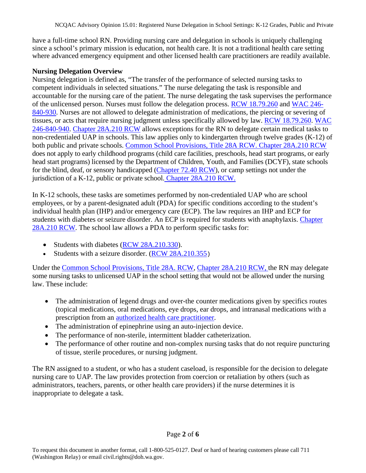have a full-time school RN. Providing nursing care and delegation in schools is uniquely challenging since a school's primary mission is education, not health care. It is not a traditional health care setting where advanced emergency equipment and other licensed health care practitioners are readily available.

#### **Nursing Delegation Overview**

Nursing delegation is defined as, "The transfer of the performance of selected nursing tasks to competent individuals in selected situations." The nurse delegating the task is responsible and accountable for the nursing care of the patient. The nurse delegating the task supervises the performance of the unlicensed person. Nurses must follow the delegation process. [RCW 18.79.260](https://apps.leg.wa.gov/RCW/default.aspx?cite=18.79.260) and [WAC 246-](https://apps.leg.wa.gov/WAC/default.aspx?cite=246-840-930) [840-930.](https://apps.leg.wa.gov/WAC/default.aspx?cite=246-840-930) Nurses are not allowed to delegate administration of medications, the piercing or severing of tissues, or acts that require nursing judgment unless specifically allowed by law. [RCW 18.79.260.](http://app.leg.wa.gov/RCW/default.aspx?cite=18.79.260) [WAC](https://apps.leg.wa.gov/WAC/default.aspx?cite=246-840-940)  [246-840-940.](https://apps.leg.wa.gov/WAC/default.aspx?cite=246-840-940) [Chapter 28A.210 RCW](http://app.leg.wa.gov/RCW/default.aspx?cite=28A.210) allows exceptions for the RN to delegate certain medical tasks to non-credentialed UAP in schools. This law applies only to kindergarten through twelve grades (K-12) of both public and private schools. [Common School Provisions, Title 28A RCW.](http://apps.leg.wa.gov/rcw/default.aspx?cite=28A) [Chapter 28A.210 RCW](http://app.leg.wa.gov/RCW/default.aspx?cite=28A.210) does not apply to early childhood programs (child care facilities, preschools, head start programs, or early head start programs) licensed by the Department of Children, Youth, and Families (DCYF), state schools for the blind, deaf, or sensory handicapped [\(Chapter 72.40 RCW\)](https://app.leg.wa.gov/RCW/default.aspx?cite=72.40&full=true#:%7E:text=There%20are%20established%20at%20Vancouver%2C%20Clark%20county%2C%20a,educate%20and%20train%20hearing%20and%20visually%20impaired%20children.), or camp settings not under the jurisdiction of a K-12, public or private school. [Chapter 28A.210 RCW.](http://app.leg.wa.gov/RCW/default.aspx?cite=28A.210)

In K-12 schools, these tasks are sometimes performed by non-credentialed UAP who are school employees, or by a parent-designated adult (PDA) for specific conditions according to the student's individual health plan (IHP) and/or emergency care (ECP). The law requires an IHP and ECP for students with diabetes or seizure disorder. An ECP is required for students with anaphylaxis. [Chapter](http://app.leg.wa.gov/RCW/default.aspx?cite=28A.210)  [28A.210 RCW.](http://app.leg.wa.gov/RCW/default.aspx?cite=28A.210) The school law allows a PDA to perform specific tasks for:

- Students with diabetes [\(RCW 28A.210.330\)](http://app.leg.wa.gov/RCW/default.aspx?cite=28A.210.330).
- Students with a seizure disorder. [\(RCW 28A.210.355](https://app.leg.wa.gov/RCW/default.aspx?cite=28A.210.355))

Under the [Common School Provisions, Title 28A. RCW,](http://apps.leg.wa.gov/rcw/default.aspx?cite=28A) [Chapter 28A.210 RCW,](http://app.leg.wa.gov/RCW/default.aspx?cite=28A.210) the RN may delegate some nursing tasks to unlicensed UAP in the school setting that would not be allowed under the nursing law. These include:

- The administration of legend drugs and over-the counter medications given by specifics routes (topical medications, oral medications, eye drops, ear drops, and intranasal medications with a prescription from an [authorized health care practitioner.](https://www.doh.wa.gov/LicensesPermitsandCertificates/NursingCommission/PracticeInformation/GlossaryofTerms)
- The administration of epinephrine using an auto-injection device.
- The performance of non-sterile, intermittent bladder catheterization.
- The performance of other routine and non-complex nursing tasks that do not require puncturing of tissue, sterile procedures, or nursing judgment.

The RN assigned to a student, or who has a student caseload, is responsible for the decision to delegate nursing care to UAP. The law provides protection from coercion or retaliation by others (such as administrators, teachers, parents, or other health care providers) if the nurse determines it is inappropriate to delegate a task.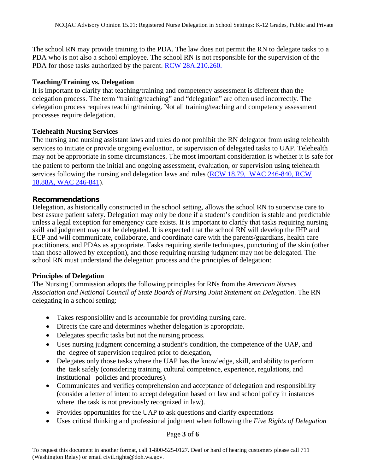The school RN may provide training to the PDA. The law does not permit the RN to delegate tasks to a PDA who is not also a school employee. The school RN is not responsible for the supervision of the PDA for those tasks authorized by the parent. RCW 28A.210.260.

#### **Teaching/Training vs. Delegation**

It is important to clarify that teaching/training and competency assessment is different than the delegation process. The term "training/teaching" and "delegation" are often used incorrectly. The delegation process requires teaching/training. Not all training/teaching and competency assessment processes require delegation.

#### **Telehealth Nursing Services**

The nursing and nursing assistant laws and rules do not prohibit the RN delegator from using telehealth services to initiate or provide ongoing evaluation, or supervision of delegated tasks to UAP. Telehealth may not be appropriate in some circumstances. The most important consideration is whether it is safe for the patient to perform the initial and ongoing assessment, evaluation, or supervision using telehealth services following the nursing and delegation laws and rules [\(RCW 18.79,](https://apps.leg.wa.gov/rcw/default.aspx?cite=18.79) [WAC 246-840,](https://apps.leg.wa.gov/WAC/default.aspx?cite=246-840) RCW [18.88A,](https://app.leg.wa.gov/rcw/default.aspx?cite=18.88A) [WAC 246-841\)](https://app.leg.wa.gov/wac/default.aspx?cite=246-841).

#### **Recommendations**

Delegation, as historically constructed in the school setting, allows the school RN to supervise care to best assure patient safety. Delegation may only be done if a student's condition is stable and predictable unless a legal exception for emergency care exists. It is important to clarify that tasks requiring nursing skill and judgment may not be delegated. It is expected that the school RN will develop the IHP and ECP and will communicate, collaborate, and coordinate care with the parents/guardians, health care practitioners, and PDAs as appropriate. Tasks requiring sterile techniques, puncturing of the skin (other than those allowed by exception), and those requiring nursing judgment may not be delegated. The school RN must understand the delegation process and the principles of delegation:

#### **Principles of Delegation**

The Nursing Commission adopts the following principles for RNs from the *American Nurses Association and National Council of State Boards of Nursing Joint Statement on Delegation*. The RN delegating in a school setting:

- Takes responsibility and is accountable for providing nursing care.
- Directs the care and determines whether delegation is appropriate.
- Delegates specific tasks but not the nursing process.
- Uses nursing judgment concerning a student's condition, the competence of the UAP, and the degree of supervision required prior to delegation,
- Delegates only those tasks where the UAP has the knowledge, skill, and ability to perform the task safely (considering training, cultural competence, experience, regulations, and institutional policies and procedures).
- Communicates and verifies comprehension and acceptance of delegation and responsibility (consider a letter of intent to accept delegation based on law and school policy in instances where the task is not previously recognized in law).
- Provides opportunities for the UAP to ask questions and clarify expectations
- Uses critical thinking and professional judgment when following the *Five Rights of Delegation*

### Page **3** of **6**

To request this document in another format, call 1-800-525-0127. Deaf or hard of hearing customers please call 711 (Washington Relay) or email civil.rights@doh.wa.gov.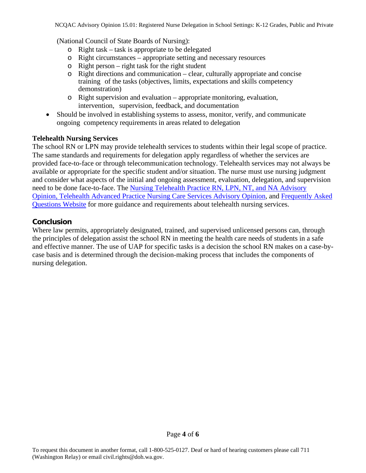(National Council of State Boards of Nursing):

- o Right task task is appropriate to be delegated
- o Right circumstances appropriate setting and necessary resources
- o Right person right task for the right student
- o Right directions and communication clear, culturally appropriate and concise training of the tasks (objectives, limits, expectations and skills competency demonstration)
- o Right supervision and evaluation appropriate monitoring, evaluation, intervention, supervision, feedback, and documentation
- Should be involved in establishing systems to assess, monitor, verify, and communicate ongoing competency requirements in areas related to delegation

#### **Telehealth Nursing Services**

The school RN or LPN may provide telehealth services to students within their legal scope of practice. The same standards and requirements for delegation apply regardless of whether the services are provided face-to-face or through telecommunication technology. Telehealth services may not always be available or appropriate for the specific student and/or situation. The nurse must use nursing judgment and consider what aspects of the initial and ongoing assessment, evaluation, delegation, and supervision need to be done face-to-face. The [Nursing Telehealth Practice RN, LPN, NT, and NA Advisory](https://www.doh.wa.gov/Portals/1/Documents/6000/NCAO25.pdf?ver=2021-03-18-092725-800)  [Opinion,](https://www.doh.wa.gov/Portals/1/Documents/6000/NCAO25.pdf?ver=2021-03-18-092725-800) [Telehealth Advanced Practice Nursing Care Services Advisory Opinion,](https://www.doh.wa.gov/Portals/1/Documents/6000/NCAO26.pdf?ver=2021-03-18-091805-907) and [Frequently Asked](https://www.doh.wa.gov/LicensesPermitsandCertificates/NursingCommission/PracticeInformation/FrequentlyAskedQuestions)  [Questions Website](https://www.doh.wa.gov/LicensesPermitsandCertificates/NursingCommission/PracticeInformation/FrequentlyAskedQuestions) for more guidance and requirements about telehealth nursing services.

# **Conclusion**

Where law permits, appropriately designated, trained, and supervised unlicensed persons can, through the principles of delegation assist the school RN in meeting the health care needs of students in a safe and effective manner. The use of UAP for specific tasks is a decision the school RN makes on a case-bycase basis and is determined through the decision-making process that includes the components of nursing delegation.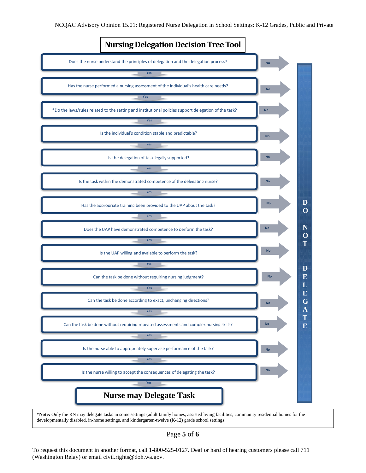

Page **5** of **6** 

To request this document in another format, call 1-800-525-0127. Deaf or hard of hearing customers please call 711 (Washington Relay) or email civil.rights@doh.wa.gov.